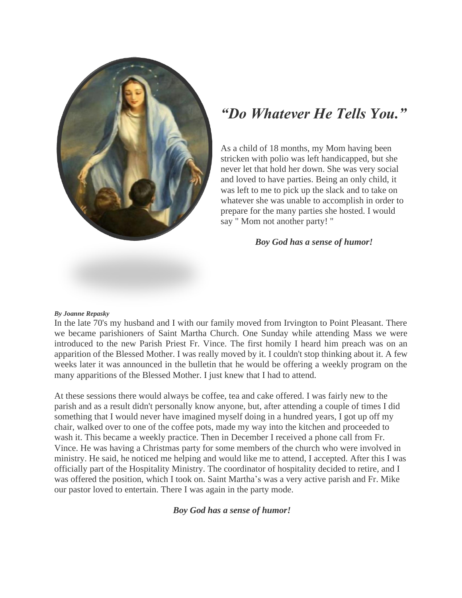

## *"Do Whatever He Tells You."*

As a child of 18 months, my Mom having been stricken with polio was left handicapped, but she never let that hold her down. She was very social and loved to have parties. Being an only child, it was left to me to pick up the slack and to take on whatever she was unable to accomplish in order to prepare for the many parties she hosted. I would say " Mom not another party! "

## *Boy God has a sense of humor!*

## *By Joanne Repasky*

In the late 70's my husband and I with our family moved from Irvington to Point Pleasant. There we became parishioners of Saint Martha Church. One Sunday while attending Mass we were introduced to the new Parish Priest Fr. Vince. The first homily I heard him preach was on an apparition of the Blessed Mother. I was really moved by it. I couldn't stop thinking about it. A few weeks later it was announced in the bulletin that he would be offering a weekly program on the many apparitions of the Blessed Mother. I just knew that I had to attend.

At these sessions there would always be coffee, tea and cake offered. I was fairly new to the parish and as a result didn't personally know anyone, but, after attending a couple of times I did something that I would never have imagined myself doing in a hundred years, I got up off my chair, walked over to one of the coffee pots, made my way into the kitchen and proceeded to wash it. This became a weekly practice. Then in December I received a phone call from Fr. Vince. He was having a Christmas party for some members of the church who were involved in ministry. He said, he noticed me helping and would like me to attend, I accepted. After this I was officially part of the Hospitality Ministry. The coordinator of hospitality decided to retire, and I was offered the position, which I took on. Saint Martha's was a very active parish and Fr. Mike our pastor loved to entertain. There I was again in the party mode.

## *Boy God has a sense of humor!*